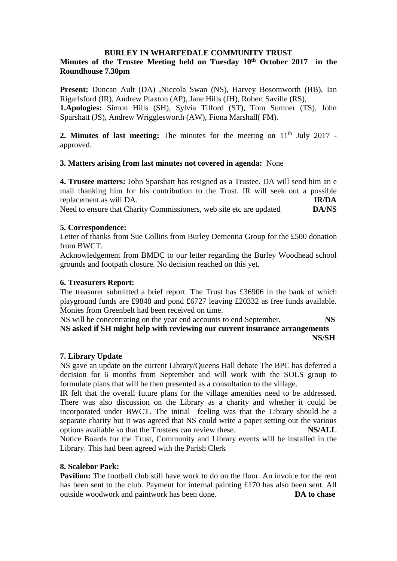### **BURLEY IN WHARFEDALE COMMUNITY TRUST**

# **Minutes of the Trustee Meeting held on Tuesday 10th October 2017 in the Roundhouse 7.30pm**

**Present:** Duncan Ault (DA) , Niccola Swan (NS), Harvey Bosomworth (HB), Ian Rigarlsford (IR), Andrew Plaxton (AP), Jane Hills (JH), Robert Saville (RS), **1.Apologies:** Simon Hills (SH), Sylvia Tilford (ST), Tom Sumner (TS), John Sparshatt (JS), Andrew Wrigglesworth (AW), Fiona Marshall( FM).

**2. Minutes of last meeting:** The minutes for the meeting on  $11<sup>th</sup>$  July 2017 approved.

## **3. Matters arising from last minutes not covered in agenda:** None

**4. Trustee matters:** John Sparshatt has resigned as a Trustee. DA will send him an e mail thanking him for his contribution to the Trust. IR will seek out a possible replacement as will DA. **IR/DA** Need to ensure that Charity Commissioners, web site etc are updated **DA/NS**

## **5. Correspondence:**

Letter of thanks from Sue Collins from Burley Dementia Group for the £500 donation from BWCT.

Acknowledgement from BMDC to our letter regarding the Burley Woodhead school grounds and footpath closure. No decision reached on this yet.

### **6. Treasurers Report:**

The treasurer submitted a brief report. The Trust has £36906 in the bank of which playground funds are £9848 and pond £6727 leaving £20332 as free funds available. Monies from Greenbelt had been received on time.

NS will be concentrating on the year end accounts to end September. **NS NS asked if SH might help with reviewing our current insurance arrangements NS/SH**

### **7. Library Update**

NS gave an update on the current Library/Queens Hall debate The BPC has deferred a decision for 6 months from September and will work with the SOLS group to formulate plans that will be then presented as a consultation to the village.

IR felt that the overall future plans for the village amenities need to be addressed. There was also discussion on the Library as a charity and whether it could be incorporated under BWCT. The initial feeling was that the Library should be a separate charity but it was agreed that NS could write a paper setting out the various options available so that the Trustees can review these. **NS/ALL** Notice Boards for the Trust, Community and Library events will be installed in the Library. This had been agreed with the Parish Clerk

### **8. Scalebor Park:**

**Pavilion:** The football club still have work to do on the floor. An invoice for the rent has been sent to the club. Payment for internal painting £170 has also been sent. All outside woodwork and paintwork has been done. **DA to chase**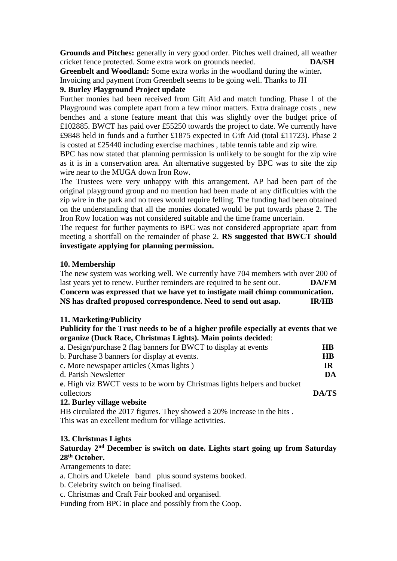**Grounds and Pitches:** generally in very good order. Pitches well drained, all weather cricket fence protected. Some extra work on grounds needed. **DA/SH**

**Greenbelt and Woodland:** Some extra works in the woodland during the winter**.** Invoicing and payment from Greenbelt seems to be going well. Thanks to JH

### **9. Burley Playground Project update**

Further monies had been received from Gift Aid and match funding. Phase 1 of the Playground was complete apart from a few minor matters. Extra drainage costs , new benches and a stone feature meant that this was slightly over the budget price of £102885. BWCT has paid over £55250 towards the project to date. We currently have £9848 held in funds and a further £1875 expected in Gift Aid (total £11723). Phase 2 is costed at £25440 including exercise machines , table tennis table and zip wire.

BPC has now stated that planning permission is unlikely to be sought for the zip wire as it is in a conservation area. An alternative suggested by BPC was to site the zip wire near to the MUGA down Iron Row.

The Trustees were very unhappy with this arrangement. AP had been part of the original playground group and no mention had been made of any difficulties with the zip wire in the park and no trees would require felling. The funding had been obtained on the understanding that all the monies donated would be put towards phase 2. The Iron Row location was not considered suitable and the time frame uncertain.

The request for further payments to BPC was not considered appropriate apart from meeting a shortfall on the remainder of phase 2. **RS suggested that BWCT should investigate applying for planning permission.** 

#### **10. Membership**

The new system was working well. We currently have 704 members with over 200 of last years yet to renew. Further reminders are required to be sent out. **DA/FM Concern was expressed that we have yet to instigate mail chimp communication. NS has drafted proposed correspondence. Need to send out asap. IR/HB**

#### **11. Marketing/Publicity**

**Publicity for the Trust needs to be of a higher profile especially at events that we organize (Duck Race, Christmas Lights). Main points decided**:

| a. Design/purchase 2 flag banners for BWCT to display at events                 | <b>HB</b> |
|---------------------------------------------------------------------------------|-----------|
| b. Purchase 3 banners for display at events.                                    | <b>HB</b> |
| c. More newspaper articles (Xmas lights)                                        | TR        |
| d. Parish Newsletter                                                            | DA        |
| <b>e.</b> High viz BWCT vests to be worn by Christmas lights helpers and bucket |           |
| collectors                                                                      | DA/TS     |
| 12. Burley village website                                                      |           |

HB circulated the 2017 figures. They showed a 20% increase in the hits . This was an excellent medium for village activities.

### **13. Christmas Lights**

# **Saturday 2nd December is switch on date. Lights start going up from Saturday 28th October.**

Arrangements to date:

- a. Choirs and Ukelele band plus sound systems booked.
- b. Celebrity switch on being finalised.
- c. Christmas and Craft Fair booked and organised.

Funding from BPC in place and possibly from the Coop.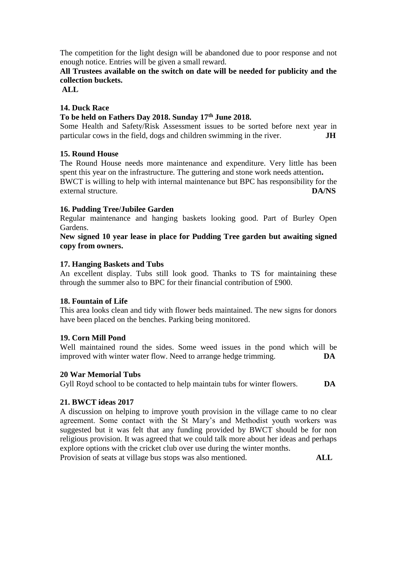The competition for the light design will be abandoned due to poor response and not enough notice. Entries will be given a small reward.

# **All Trustees available on the switch on date will be needed for publicity and the collection buckets.**

**ALL**

### **14. Duck Race**

### **To be held on Fathers Day 2018. Sunday 17th June 2018.**

Some Health and Safety/Risk Assessment issues to be sorted before next year in particular cows in the field, dogs and children swimming in the river. **JH**

## **15. Round House**

The Round House needs more maintenance and expenditure. Very little has been spent this year on the infrastructure. The guttering and stone work needs attention**.** BWCT is willing to help with internal maintenance but BPC has responsibility for the external structure. **DA/NS**

## **16. Pudding Tree/Jubilee Garden**

Regular maintenance and hanging baskets looking good. Part of Burley Open Gardens.

**New signed 10 year lease in place for Pudding Tree garden but awaiting signed copy from owners.**

## **17. Hanging Baskets and Tubs**

An excellent display. Tubs still look good. Thanks to TS for maintaining these through the summer also to BPC for their financial contribution of £900.

### **18. Fountain of Life**

This area looks clean and tidy with flower beds maintained. The new signs for donors have been placed on the benches. Parking being monitored.

### **19. Corn Mill Pond**

Well maintained round the sides. Some weed issues in the pond which will be improved with winter water flow. Need to arrange hedge trimming. **DA**

### **20 War Memorial Tubs**

Gyll Royd school to be contacted to help maintain tubs for winter flowers. **DA**

## **21. BWCT ideas 2017**

A discussion on helping to improve youth provision in the village came to no clear agreement. Some contact with the St Mary's and Methodist youth workers was suggested but it was felt that any funding provided by BWCT should be for non religious provision. It was agreed that we could talk more about her ideas and perhaps explore options with the cricket club over use during the winter months.

Provision of seats at village bus stops was also mentioned. **ALL**